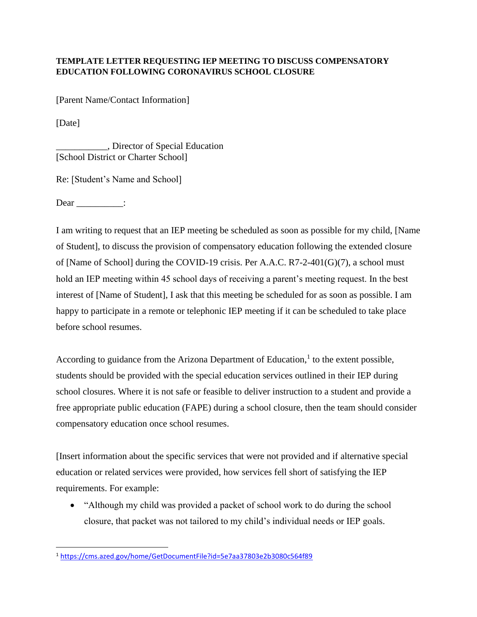## **TEMPLATE LETTER REQUESTING IEP MEETING TO DISCUSS COMPENSATORY EDUCATION FOLLOWING CORONAVIRUS SCHOOL CLOSURE**

[Parent Name/Contact Information]

[Date]

\_\_\_\_\_\_\_\_\_\_\_, Director of Special Education [School District or Charter School]

Re: [Student's Name and School]

Dear :

I am writing to request that an IEP meeting be scheduled as soon as possible for my child, [Name of Student], to discuss the provision of compensatory education following the extended closure of [Name of School] during the COVID-19 crisis. Per A.A.C. R7-2-401(G)(7), a school must hold an IEP meeting within 45 school days of receiving a parent's meeting request. In the best interest of [Name of Student], I ask that this meeting be scheduled for as soon as possible. I am happy to participate in a remote or telephonic IEP meeting if it can be scheduled to take place before school resumes.

According to guidance from the Arizona Department of Education, $<sup>1</sup>$  to the extent possible,</sup> students should be provided with the special education services outlined in their IEP during school closures. Where it is not safe or feasible to deliver instruction to a student and provide a free appropriate public education (FAPE) during a school closure, then the team should consider compensatory education once school resumes.

[Insert information about the specific services that were not provided and if alternative special education or related services were provided, how services fell short of satisfying the IEP requirements. For example:

• "Although my child was provided a packet of school work to do during the school closure, that packet was not tailored to my child's individual needs or IEP goals.

<sup>1</sup> <https://cms.azed.gov/home/GetDocumentFile?id=5e7aa37803e2b3080c564f89>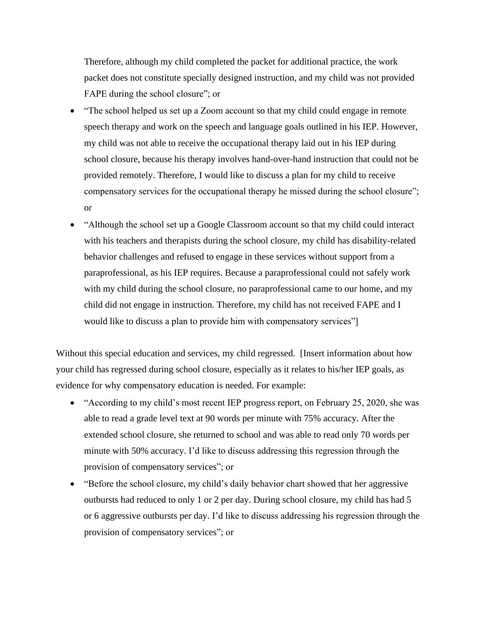Therefore, although my child completed the packet for additional practice, the work packet does not constitute specially designed instruction, and my child was not provided FAPE during the school closure"; or

- "The school helped us set up a Zoom account so that my child could engage in remote speech therapy and work on the speech and language goals outlined in his IEP. However, my child was not able to receive the occupational therapy laid out in his IEP during school closure, because his therapy involves hand-over-hand instruction that could not be provided remotely. Therefore, I would like to discuss a plan for my child to receive compensatory services for the occupational therapy he missed during the school closure"; or
- "Although the school set up a Google Classroom account so that my child could interact with his teachers and therapists during the school closure, my child has disability-related behavior challenges and refused to engage in these services without support from a paraprofessional, as his IEP requires. Because a paraprofessional could not safely work with my child during the school closure, no paraprofessional came to our home, and my child did not engage in instruction. Therefore, my child has not received FAPE and I would like to discuss a plan to provide him with compensatory services"]

Without this special education and services, my child regressed. [Insert information about how your child has regressed during school closure, especially as it relates to his/her IEP goals, as evidence for why compensatory education is needed. For example:

- "According to my child's most recent IEP progress report, on February 25, 2020, she was able to read a grade level text at 90 words per minute with 75% accuracy. After the extended school closure, she returned to school and was able to read only 70 words per minute with 50% accuracy. I'd like to discuss addressing this regression through the provision of compensatory services"; or
- "Before the school closure, my child's daily behavior chart showed that her aggressive outbursts had reduced to only 1 or 2 per day. During school closure, my child has had 5 or 6 aggressive outbursts per day. I'd like to discuss addressing his regression through the provision of compensatory services"; or